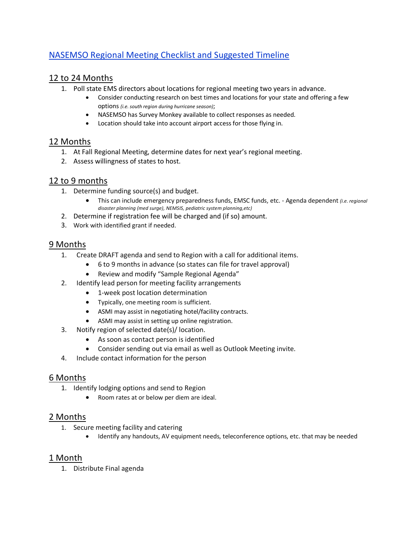# NASEMSO Regional Meeting Checklist and Suggested Timeline

## 12 to 24 Months

- 1. Poll state EMS directors about locations for regional meeting two years in advance.
	- Consider conducting research on best times and locations for your state and offering a few options *(i.e. south region during hurricane season)*;
	- NASEMSO has Survey Monkey available to collect responses as needed.
	- Location should take into account airport access for those flying in.

## 12 Months

- 1. At Fall Regional Meeting, determine dates for next year's regional meeting.
- 2. Assess willingness of states to host.

## 12 to 9 months

- 1. Determine funding source(s) and budget.
	- This can include emergency preparedness funds, EMSC funds, etc. Agenda dependent *(i.e. regional disaster planning (med surge), NEMSIS, pediatric system planning,etc)*
- 2. Determine if registration fee will be charged and (if so) amount.
- 3. Work with identified grant if needed.

## 9 Months

- 1. Create DRAFT agenda and send to Region with a call for additional items.
	- 6 to 9 months in advance (so states can file for travel approval)
	- Review and modify "Sample Regional Agenda"
- 2. Identify lead person for meeting facility arrangements
	- 1-week post location determination
	- Typically, one meeting room is sufficient.
	- ASMI may assist in negotiating hotel/facility contracts.
	- ASMI may assist in setting up online registration.
- 3. Notify region of selected date(s)/ location.
	- As soon as contact person is identified
	- Consider sending out via email as well as Outlook Meeting invite.
- 4. Include contact information for the person

### 6 Months

- 1. Identify lodging options and send to Region
	- Room rates at or below per diem are ideal.

### 2 Months

- 1. Secure meeting facility and catering
	- Identify any handouts, AV equipment needs, teleconference options, etc. that may be needed

### 1 Month

1. Distribute Final agenda